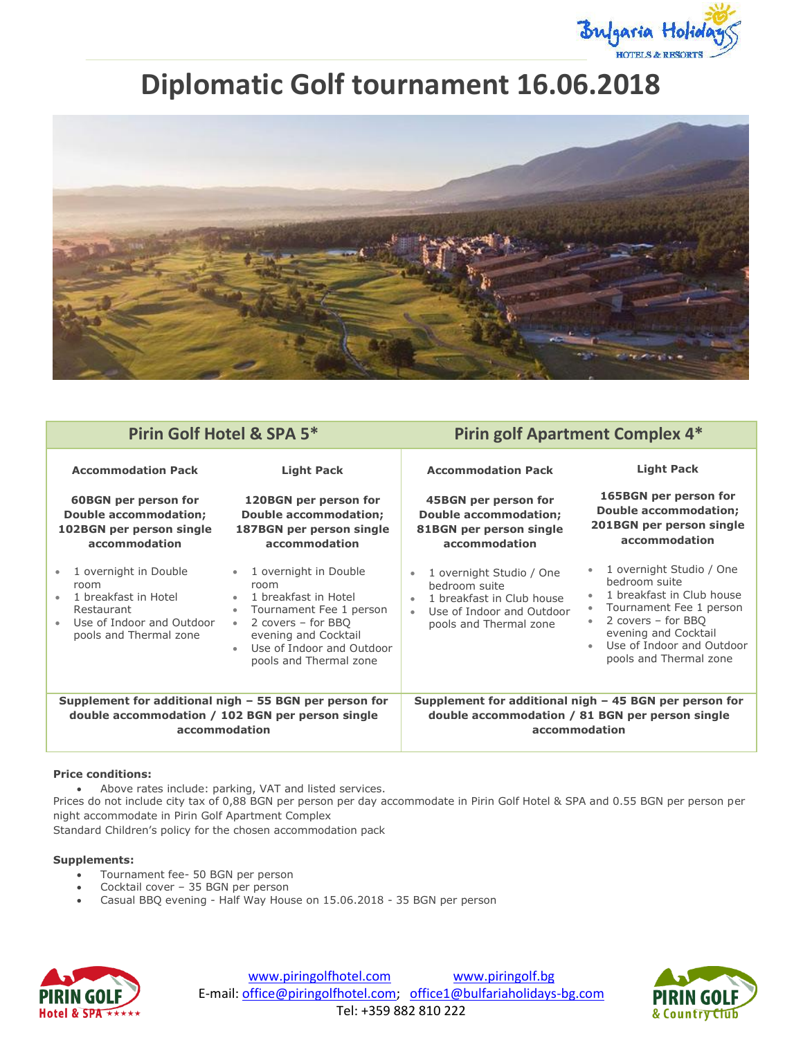

# **Diplomatic Golf tournament 16.06.2018**



| Pirin Golf Hotel & SPA 5*                                                                                                  |                                                                                                                                                                                                                                                        | <b>Pirin golf Apartment Complex 4*</b>                                                                                                                  |                                                                                                                                                                                                        |
|----------------------------------------------------------------------------------------------------------------------------|--------------------------------------------------------------------------------------------------------------------------------------------------------------------------------------------------------------------------------------------------------|---------------------------------------------------------------------------------------------------------------------------------------------------------|--------------------------------------------------------------------------------------------------------------------------------------------------------------------------------------------------------|
| <b>Accommodation Pack</b>                                                                                                  | <b>Light Pack</b>                                                                                                                                                                                                                                      | <b>Accommodation Pack</b>                                                                                                                               | <b>Light Pack</b>                                                                                                                                                                                      |
| <b>60BGN per person for</b>                                                                                                | 120BGN per person for                                                                                                                                                                                                                                  | 45BGN per person for                                                                                                                                    | 165BGN per person for                                                                                                                                                                                  |
| <b>Double accommodation;</b>                                                                                               | <b>Double accommodation;</b>                                                                                                                                                                                                                           | <b>Double accommodation;</b>                                                                                                                            | <b>Double accommodation;</b>                                                                                                                                                                           |
| 102BGN per person single                                                                                                   | 187BGN per person single                                                                                                                                                                                                                               | 81BGN per person single                                                                                                                                 | 201BGN per person single                                                                                                                                                                               |
| accommodation                                                                                                              | accommodation                                                                                                                                                                                                                                          | accommodation                                                                                                                                           | accommodation                                                                                                                                                                                          |
| 1 overnight in Double<br>room<br>1 breakfast in Hotel<br>Restaurant<br>Use of Indoor and Outdoor<br>pools and Thermal zone | 1 overnight in Double<br>$\bullet$<br>room<br>1 breakfast in Hotel<br>$\bullet$<br>Tournament Fee 1 person<br>$\bullet$<br>2 covers - for BBQ<br>$\bullet$<br>evening and Cocktail<br>Use of Indoor and Outdoor<br>$\bullet$<br>pools and Thermal zone | 1 overnight Studio / One<br>bedroom suite<br>1 breakfast in Club house<br>$\bullet$<br>Use of Indoor and Outdoor<br>$\bullet$<br>pools and Thermal zone | 1 overnight Studio / One<br>bedroom suite<br>1 breakfast in Club house<br>Tournament Fee 1 person<br>2 covers - for BBQ<br>evening and Cocktail<br>Use of Indoor and Outdoor<br>pools and Thermal zone |
| Supplement for additional nigh $-55$ BGN per person for                                                                    |                                                                                                                                                                                                                                                        | Supplement for additional nigh $-$ 45 BGN per person for                                                                                                |                                                                                                                                                                                                        |
| double accommodation / 102 BGN per person single                                                                           |                                                                                                                                                                                                                                                        | double accommodation / 81 BGN per person single                                                                                                         |                                                                                                                                                                                                        |
| accommodation                                                                                                              |                                                                                                                                                                                                                                                        | accommodation                                                                                                                                           |                                                                                                                                                                                                        |

## **Price conditions:**

Above rates include: parking, VAT and listed services.

Prices do not include city tax of 0,88 BGN per person per day accommodate in Pirin Golf Hotel & SPA and 0.55 BGN per person per night accommodate in Pirin Golf Apartment Complex

Standard Children's policy for the chosen accommodation pack

### **Supplements:**

- Tournament fee- 50 BGN per person
- Cocktail cover 35 BGN per person
- Casual BBQ evening Half Way House on 15.06.2018 35 BGN per person



www.piringolfhotel.com www.piringolf.bg E-mail: office@piringolfhotel.com; office1@bulfariaholidays-bg.com Tel: +359 882 810 222